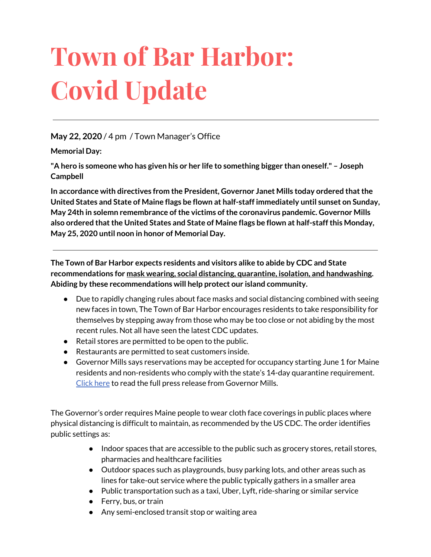# **Town of Bar Harbor: Covid Update**

## **May 22, 2020** / 4 pm / Town Manager's Office

**Memorial Day:**

**"A hero is someone who has given his or her life to something bigger than oneself." – Joseph Campbell**

**In accordance with directives from the President, Governor Janet Mills today ordered thatthe United States and State of Maine flags be flown at half-staff immediately until sunset on Sunday, May 24th in solemn remembrance ofthe victims ofthe coronavirus pandemic. Governor Mills also ordered thatthe United States and State of Maine flags be flown at half-staffthis Monday, May 25, 2020 until noon in honor of Memorial Day.**

**The Town of Bar Harbor expects residents and visitors alike to abide by CDC and State recommendations for mask wearing, social distancing, quarantine, isolation, and handwashing. Abiding by these recommendations will help protect our island community.**

- Due to rapidly changing rules about face masks and social distancing combined with seeing new faces in town, The Town of Bar Harbor encourages residents to take responsibility for themselves by stepping away from those who may be too close or not abiding by the most recent rules. Not all have seen the latest CDC updates.
- Retail stores are permitted to be open to the public.
- Restaurants are permitted to seat customers inside.
- Governor Mills says reservations may be accepted for occupancy starting June 1 for Maine residents and non-residents who comply with the state's 14-day quarantine requirement. [Click](http://r20.rs6.net/tn.jsp?f=001gB9til_fx4w7nvjzESddOn4bZaqAGzdDyIEy097v0dBYqPQcdjRepSlWubnJiliWykVd8xltfaA07f9BQ6xv5ifOwJVlNMXhjETcC-rke9jDV4OkMTtHnjkRzx1qc1AuS23XwQ2XTinmFkEoRoJ4qqRZHASbTSwRwdj0F88dSeiCghSWPbPvRFWxMyVeQs3dcKQXA0O4Mh0OQTvhtXLneM1Lbxix6PjG3slQwKnkde1Du4XlY5qtouwLDMZDoF_dUQbNhztc6P7heDo42stjIA==&c=GV80uf24ip3gZvQKEozeMbyQn8nDH-DzBYaQB2SENXvHxqb8iwEK5w==&ch=C1320ou85N1eVcHVOSrS_YuBBpfyW3yMIv_-oxqFYkPp04VLTtwgVw==) here to read the full press release from Governor Mills.

The Governor's order requires Maine people to wear cloth face coverings in public places where physical distancing is difficult to maintain, as recommended by the US CDC. The order identifies public settings as:

- Indoor spaces that are accessible to the public such as grocery stores, retail stores, pharmacies and healthcare facilities
- Outdoor spaces such as playgrounds, busy parking lots, and other areas such as lines for take-out service where the public typically gathers in a smaller area
- Public transportation such as a taxi, Uber, Lyft, ride-sharing or similar service
- Ferry, bus, or train
- Any semi-enclosed transit stop or waiting area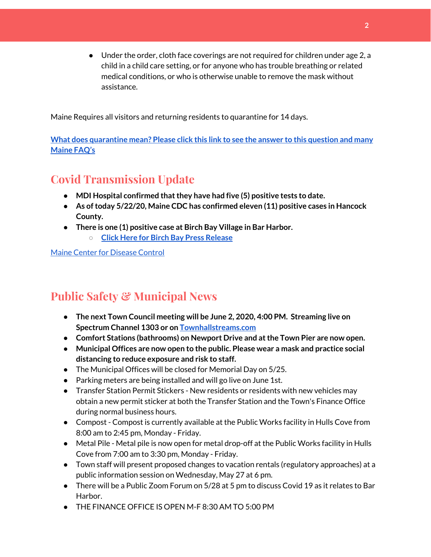● Under the order, cloth face coverings are not required for children under age 2, a child in a child care setting, or for anyone who has trouble breathing or related medical conditions, or who is otherwise unable to remove the mask without assistance.

Maine Requires all visitors and returning residents to quarantine for 14 days.

**What does [quarantine](https://www.maine.gov/dhhs/mecdc/infectious-disease/epi/airborne/coronavirus.shtml#faq) mean? Please click this link to see the answer to this question and many [Maine](https://www.maine.gov/dhhs/mecdc/infectious-disease/epi/airborne/coronavirus.shtml#faq) FAQ's**

# **Covid Transmission Update**

- **● MDI Hospital confirmed thatthey have had five (5) positive tests to date.**
- **● As oftoday 5/22/20, Maine CDC has confirmed eleven (11) positive cases in Hancock County.**
- **● There is one (1) positive case at Birch Bay Village in Bar Harbor.**
	- **○ Click Here for Birch Bay Press [Release](https://www.birchbayvillage.us/category/coronavirus/)**

Maine Center for [Disease](https://www.maine.gov/dhhs/mecdc/infectious-disease/epi/airborne/coronavirus.shtml) Control

# **Public Safety & Municipal News**

- **● The next Town Council meeting will be June 2, 2020, 4:00 PM. Streaming live on Spectrum Channel 1303 or on [Townhallstreams.com](http://townhallstreams.com/)**
- **● Comfort Stations (bathrooms) on Newport Drive and atthe Town Pier are now open.**
- **● Municipal Offices are now open to the public. Please wear a mask and practice social distancing to reduce exposure and risk to staff.**
- The Municipal Offices will be closed for Memorial Day on 5/25.
- Parking meters are being installed and will go live on June 1st.
- Transfer Station Permit Stickers New residents or residents with new vehicles may obtain a new permit sticker at both the Transfer Station and the Town's Finance Office during normal business hours.
- Compost Compost is currently available at the Public Works facility in Hulls Cove from 8:00 am to 2:45 pm, Monday - Friday.
- Metal Pile Metal pile is now open for metal drop-off at the Public Works facility in Hulls Cove from 7:00 am to 3:30 pm, Monday - Friday.
- Town staff will present proposed changes to vacation rentals (regulatory approaches) at a public information session on Wednesday, May 27 at 6 pm.
- There will be a Public Zoom Forum on 5/28 at 5 pm to discuss Covid 19 as it relates to Bar Harbor.
- THE FINANCE OFFICE IS OPEN M-F 8:30 AM TO 5:00 PM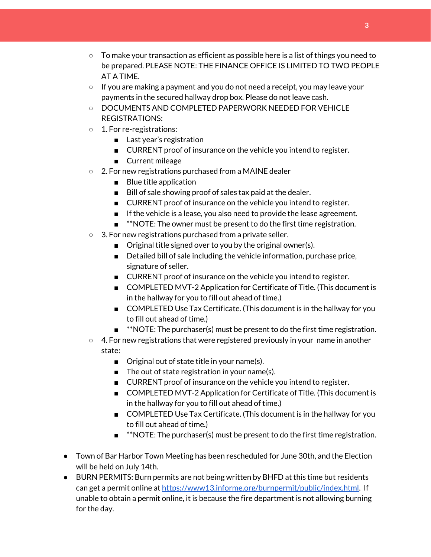- $\circ$  To make your transaction as efficient as possible here is a list of things you need to be prepared. PLEASE NOTE: THE FINANCE OFFICE IS LIMITED TO TWO PEOPLE AT A TIME.
- $\circ$  If you are making a payment and you do not need a receipt, you may leave your payments in the secured hallway drop box. Please do not leave cash.
- DOCUMENTS AND COMPLETED PAPERWORK NEEDED FOR VEHICLE REGISTRATIONS:
- 1. For re-registrations:
	- Last year's registration
	- CURRENT proof of insurance on the vehicle you intend to register.
	- Current mileage
- 2. For new registrations purchased from a MAINE dealer
	- Blue title application
	- Bill of sale showing proof of sales tax paid at the dealer.
	- CURRENT proof of insurance on the vehicle you intend to register.
	- If the vehicle is a lease, you also need to provide the lease agreement.
	- **\*\*NOTE:** The owner must be present to do the first time registration.
- 3. For new registrations purchased from a private seller.
	- Original title signed over to you by the original owner(s).
	- Detailed bill of sale including the vehicle information, purchase price, signature of seller.
	- CURRENT proof of insurance on the vehicle you intend to register.
	- COMPLETED MVT-2 Application for Certificate of Title. (This document is in the hallway for you to fill out ahead of time.)
	- COMPLETED Use Tax Certificate. (This document is in the hallway for you to fill out ahead of time.)
	- \*\*NOTE: The purchaser(s) must be present to do the first time registration.
- 4. For new registrations that were registered previously in your name in another state:
	- Original out of state title in your name(s).
	- The out of state registration in your name(s).
	- CURRENT proof of insurance on the vehicle you intend to register.
	- COMPLETED MVT-2 Application for Certificate of Title. (This document is in the hallway for you to fill out ahead of time.)
	- COMPLETED Use Tax Certificate. (This document is in the hallway for you to fill out ahead of time.)
	- **■** \*\*NOTE: The purchaser(s) must be present to do the first time registration.
- Town of Bar Harbor Town Meeting has been rescheduled for June 30th, and the Election will be held on July 14th.
- BURN PERMITS: Burn permits are not being written by BHFD at this time but residents can get a permit online at <https://www13.informe.org/burnpermit/public/index.html>. If unable to obtain a permit online, it is because the fire department is not allowing burning for the day.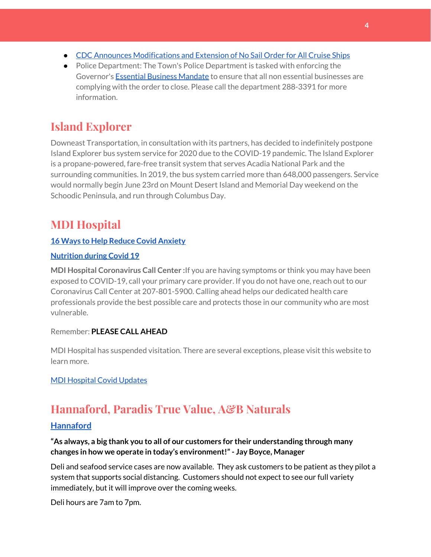- CDC Announces [Modifications](https://www.cdc.gov/media/releases/2020/s0409-modifications-extension-no-sail-ships.html) and Extension of No Sail Order for All Cruise Ships
- Police Department: The Town's Police Department is tasked with enforcing the Governor's **Essential Business [Mandate](https://www.maine.gov/governor/mills/sites/maine.gov.governor.mills/files/inline-files/An%20Order%20Regarding%20Essential%20Businesses%20and%20Operations%20.pdf)** to ensure that all non essential businesses are complying with the order to close. Please call the department 288-3391 for more information.

# **Island Explorer**

Downeast Transportation, in consultation with its partners, has decided to indefinitely postpone Island Explorer bus system service for 2020 due to the COVID-19 pandemic. The Island Explorer is a propane-powered, fare-free transit system that serves Acadia National Park and the surrounding communities. In 2019, the bus system carried more than 648,000 passengers. Service would normally begin June 23rd on Mount Desert Island and Memorial Day weekend on the Schoodic Peninsula, and run through Columbus Day.

# **MDI Hospital**

## **16 Ways to Help Reduce Covid [Anxiety](https://www.mdihospital.org/news/16-ways-to-help-reduce-covid-19-anxiety/)**

#### **[Nutrition](https://www.mdihospital.org/news/16-ways-to-help-reduce-covid-19-anxiety/) during Covid 19**

**MDI Hospital Coronavirus Call Center :**If you are having symptoms or think you may have been exposed to COVID-19, call your primary care provider. If you do not have one, reach out to our Coronavirus Call Center at 207-801-5900. Calling ahead helps our dedicated health care professionals provide the best possible care and protects those in our community who are most vulnerable.

## Remember: **PLEASE CALL AHEAD**

MDI Hospital has suspended visitation. There are several exceptions, please visit this website to learn more.

## MDI [Hospital](https://www.mdihospital.org/covid-19/?fbclid=IwAR2Q31t4a6H1pxDfUeqSzFcmp5UbRlSwe93i58zEkHstfexp5EgoHB5cxGU) Covid Updates

# **Hannaford, Paradis True Value, A&B Naturals**

## **[Hannaford](https://www.hannaford.com/locations/bar-harbor-hannaford-21051)**

## **"As always, a big thank you to all of our customers for their understanding through many changes in how we operate in today's environment!"- Jay Boyce, Manager**

Deli and seafood service cases are now available. They ask customers to be patient as they pilot a system that supports social distancing. Customers should not expect to see our full variety immediately, but it will improve over the coming weeks.

Deli hours are 7am to 7pm.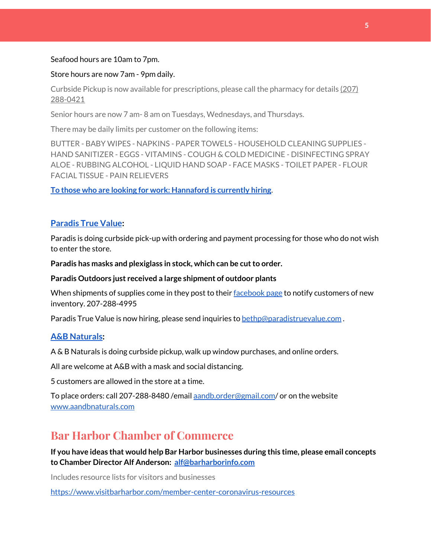#### Seafood hours are 10am to 7pm.

#### Store hours are now 7am - 9pm daily.

Curbside Pickup is now available for prescriptions, please call the pharmacy for details [\(207\)](https://www.google.com/search?client=firefox-b-1-d&q=hannaford+pharmacy+bar+harbor#) [288-0421](https://www.google.com/search?client=firefox-b-1-d&q=hannaford+pharmacy+bar+harbor#)

Senior hours are now 7 am- 8 am on Tuesdays, Wednesdays, and Thursdays.

There may be daily limits per customer on the following items:

BUTTER - BABY WIPES - NAPKINS - PAPER TOWELS - HOUSEHOLD CLEANING SUPPLIES - HAND SANITIZER - EGGS - VITAMINS - COUGH & COLD MEDICINE - DISINFECTING SPRAY ALOE - RUBBING ALCOHOL - LIQUID HAND SOAP - FACE MASKS - TOILET PAPER - FLOUR FACIAL TISSUE - PAIN RELIEVERS

**To those who are looking for work: [Hannaford](https://www.hannaford.com/about-us/careers) is currently hiring.**

#### **[Paradis](https://www.facebook.com/ParadisTrueValue/) True Value:**

Paradis is doing curbside pick-up with ordering and payment processing for those who do not wish to enter the store.

**Paradis** has masks and plexiglass in stock, which can be cut to order.

#### **Paradis Outdoors just received a large shipment of outdoor plants**

When shipments of supplies come in they post to their [facebook](https://www.facebook.com/ParadisTrueValue/) page to notify customers of new inventory. 207-288-4995

Paradis True Value is now hiring, please send inquiries to [bethp@paradistruevalue.com](mailto:bethp@paradistruevalue.com) .

#### **A&B [Naturals:](http://aandbnaturals.com/)**

A & B Naturals is doing curbside pickup, walk up window purchases, and online orders.

All are welcome at A&B with a mask and social distancing.

5 customers are allowed in the store at a time.

To place orders: call 207-288-8480 /email [aandb.order@gmail.com](mailto:aandb.order@gmail.com)/ or on the website [www.aandbnaturals.com](http://www.aandbnaturals.com/)

## **Bar Harbor Chamber of Commerce**

**If you have ideas that would help Bar Harbor businesses during this time, please email concepts to Chamber Director Alf Anderson: [alf@barharborinfo.com](mailto:alf@barharborinfo.com)**

Includes resource lists for visitors and businesses

<https://www.visitbarharbor.com/member-center-coronavirus-resources>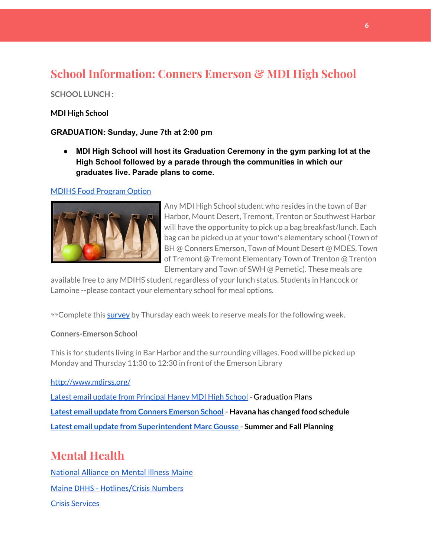# **School Information: Conners Emerson & MDI High School**

#### **SCHOOL LUNCH :**

#### **MDI High School**

#### **GRADUATION: Sunday, June 7th at 2:00 pm**

**● MDI High School will host its Graduation Ceremony in the gym parking lot at the High School followed by a parade through the communities in which our graduates live. Parade plans to come.**

#### MDIHS Food [Program](http://www.createsurvey.com/c/83380-7yUuuZ/) Option



Any MDI High School student who resides in the town of Bar Harbor, Mount Desert, Tremont, Trenton or Southwest Harbor will have the opportunity to pick up a bag breakfast/lunch. Each bag can be picked up at your town's elementary school (Town of BH @ Conners Emerson, Town of Mount Desert @ MDES, Town of Tremont @ Tremont Elementary Town of Trenton @ Trenton Elementary and Town of SWH @ Pemetic). These meals are

available free to any MDIHS student regardless of your lunch status. Students in Hancock or Lamoine --please contact your elementary school for meal options.

<sup>99</sup> Complete this [survey](http://www.createsurvey.com/c/83380-7yUuuZ/) by Thursday each week to reserve meals for the following week.

#### **Conners-Emerson School**

This is for students living in Bar Harbor and the surrounding villages. Food will be picked up Monday and Thursday 11:30 to 12:30 in front of the Emerson Library

<http://www.mdirss.org/>

Latest email update from [Principal](https://docs.google.com/document/d/1OKDsYNtOgV0FI9xAcXwQvenOKLV0S2vBg1o5jtu5CrE/edit?usp=sharing) Haney MDI High School - Graduation Plans **Latest email update from Conners [Emerson](https://docs.google.com/document/d/1v3pgkG6Q-9S3gisuUIj4etPVDwgBKl4P00JBkvZr-kk/edit?usp=sharing) School - Havana has changed food schedule Latest email update from [Superintendent](https://docs.google.com/document/d/1fzeCbc8gpTSKmUaDoQH1Avx5PVl-h0reFphXrT1eUNA/edit?usp=sharing) Marc Gousse - Summer and Fall Planning**

# **Mental Health**

[National Alliance on Mental Illness Maine](https://www.namimaine.org/) [Maine DHHS - Hotlines/Crisis Numbers](https://www.maine.gov/dhhs/hotlines.shtml) Crisis [Services](https://www.sweetser.org/programs-services/services-for-adults/crisis-services/)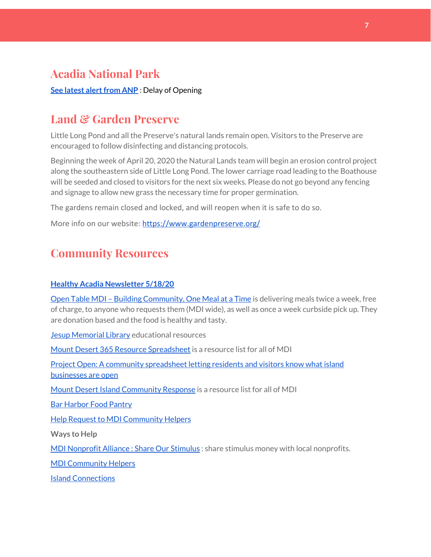# **Acadia National Park**

**See latest alert from ANP** : Delay of Opening

## **Land & Garden Preserve**

Little Long Pond and all the Preserve's natural lands remain open. Visitors to the Preserve are encouraged to follow disinfecting and distancing protocols.

Beginning the week of April 20, 2020 the Natural Lands team will begin an erosion control project along the southeastern side of Little Long Pond. The lower carriage road leading to the Boathouse will be seeded and closed to visitors for the next six weeks. Please do not go beyond any fencing and signage to allow new grass the necessary time for proper germination.

The gardens remain closed and locked, and will reopen when it is safe to do so.

More info on our website: <https://www.gardenpreserve.org/>

# **Community Resources**

#### **Healthy Acadia [Newsletter](https://mailchi.mp/healthyacadia.org/may18_2020) 5/18/20**

Open Table MDI – Building [Community,](https://www.opentablemdi.org/) One Meal at a Time is delivering meals twice a week, free of charge, to anyone who requests them (MDI wide), as well as once a week curbside pick up. They are donation based and the food is healthy and tasty.

Jesup [Memorial](https://jesuplibrary.org/) Library educational resources

Mount Desert 365 Resource [Spreadsheet](https://docs.google.com/spreadsheets/d/1okAx6HSsgXZY9CGH07Dzi6rqe7a6m4dLCPKot2Li7Ek/edit?usp=sharing) is a resource list for all of MDI

Project Open: A community [spreadsheet](https://docs.google.com/spreadsheets/d/1dBicBiBXGzzWEFd9oqL7EBDbFWjDCPl6SSMea_Kt4pc/htmlview#) letting residents and visitors know what island [businesses](https://docs.google.com/spreadsheets/d/1dBicBiBXGzzWEFd9oqL7EBDbFWjDCPl6SSMea_Kt4pc/htmlview#) are open

Mount Desert Island [Community](https://www.mdicr.org/) Response is a resource list for all of MDI

Bar [Harbor](https://www.barharborfoodpantry.org/) Food Pantry

Help Request to MDI [Community](https://docs.google.com/forms/d/e/1FAIpQLSeZfu0tCcthHc9oL7tPomVRdniYiE7nbT_kkK9iCSRgqDhOvQ/viewform) Helpers

**Ways to Help**

MDI [Nonprofit](https://sites.google.com/mdina.org/public/sos-mdi?authuser=0) Alliance : Share Our Stimulus : share stimulus money with local nonprofits.

MDI [Community](https://docs.google.com/forms/d/e/1FAIpQLSe_CJUFdVvwJkmymWRqUeK8bx3m7n4uSOuUPYHqXSAyH2DBoQ/viewform?fbclid=IwAR25hjnWGhnMP0lOWMcBPRBumhtQCJGZO4hlk-T-VjNGZljL1kVX5pWrL6U) Helpers

Island [Connections](http://islconnections.org/contact-us/)